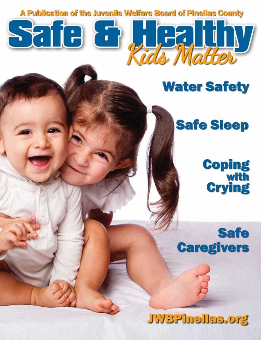A Publication of the Juvenile Welfare Board of Pinellas County

Safe & Academy

# **Water Safety**

# **Safe Sleep**

# **Coping<br>with<br>Crying**

# **Safe Caregivers**

# **JWBPinellas.org**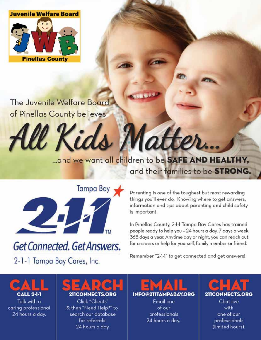

The Juvenile Welfare Board of Pinellas County believes

> ... and we want all children to be SAFE AND HEALTHY, and their families to be STRONG.

W Kids Matter.



# Get Connected. Get Answers.

2-1-1 Tampa Bay Cares, Inc.

Parenting is one of the toughest but most rewarding things you'll ever do. Knowing where to get answers, information and tips about parenting and child safety is important.

In Pinellas County, 2-1-1 Tampa Bay Cares has trained people ready to help you - 24 hours a day, 7 days a week, 365 days a year. Anytime day or night, you can reach out for answers or help for yourself, family member or friend.

Remember "2-1-1" to get connected and get answers!

**ANT CALL 2-1-1** Talk with a caring professional 24 hours a day.

# D. 211CONNECTS.ORG

Click "Clients" & then "Need Help?" to search our database for referrals 24 hours a day.

 $\sqrt{2}$ **INFO@211TAMPABAY.ORG** 

> Email one of our professionals 24 hours a day.



one of our professionals (limited hours).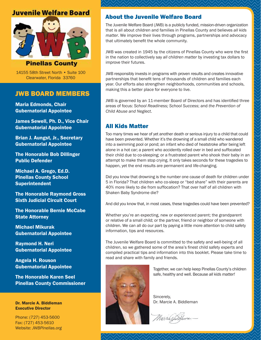### **Juvenile Welfare Board**



**Pinellas County** 

14155 58th Street North • Suite 100 Clearwater, Florida 33760

### JWB BOARD MEMBERS

Maria Edmonds, Chair Gubernatorial Appointee

James Sewell, Ph. D., Vice Chair Gubernatorial Appointee

Brian J. Aungst, Jr., Secretary Gubernatorial Appointee

The Honorable Bob Dillinger Public Defender

Michael A. Grego, Ed.D. Pinellas County School Superintendent

The Honorable Raymond Gross Sixth Judicial Circuit Court

The Honorable Bernie McCabe State Attorney

Michael Mikurak Gubernatorial Appointee

Raymond H. Neri Gubernatorial Appointee

Angela H. Rouson Gubernatorial Appointee

The Honorable Karen Seel Pinellas County Commissioner

Dr. Marcie A. Biddleman Executive Director

Phone: (727) 453-5600 Fax: (727) 453-5610 Website: *JWBPinellas.org*

### About the Juvenile Welfare Board

The Juvenile Welfare Board (JWB) is a publicly funded, mission-driven organization that is all about children and families in Pinellas County and believes *all kids matter*. We improve their lives through programs, partnerships and advocacy that ultimately benefit the whole community.

JWB was created in 1945 by the citizens of Pinellas County who were the first in the nation to collectively say *all children matter* by investing tax dollars to improve their futures.

JWB responsibly invests in programs with proven results and creates innovative partnerships that benefit tens of thousands of children and families each year. Our efforts also strengthen neighborhoods, communities and schools, making this a better place for everyone to live.

JWB is governed by an 11-member Board of Directors and has identified three areas of focus: *School Readiness; School Success*; and *the Prevention of Child Abuse and Neglect*.

### All Kids Matter

Too many times we hear of yet another death or serious injury to a child that could have been prevented. Whether it's the drowning of a small child who wandered into a swimming pool or pond; an infant who died of heatstroke after being left alone in a hot car; a parent who accidently rolled over in bed and suffocated their child due to co-sleeping; or a frustrated parent who shook their baby in an attempt to make them stop crying. It only takes seconds for these tragedies to happen, yet the end results are permanent and life-changing.

Did you know that drowning is the number one cause of death for children under 5 in Florida? That children who co-sleep or "bed share" with their parents are 40% more likely to die from suffocation? That over half of all children with Shaken Baby Syndrome die?

And did you know that, in most cases, these tragedies could have been prevented?

Whether you're an expecting, new or experienced parent; the grandparent or relative of a small child; or the partner, friend or neighbor of someone with children. We can all do our part by paying a little more attention to child safety information, tips and resources.

The Juvenile Welfare Board is committed to the safety and well-being of all children, so we gathered some of the area's finest child safety experts and compiled practical tips and information into this booklet. Please take time to read and share with family and friends.



Together, we can help keep Pinellas County's children safe, healthy and well. Because *all kids matter!* 

Sincerely, Dr. Marcie A. Biddleman

Marcierfulleman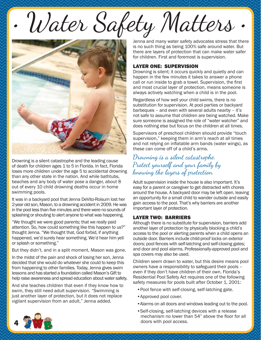• Water Safety Matters



Drowning is a silent catastrophe and the leading cause of death for children ages 1 to 5 in Florida. In fact, Florida loses more children under the age 5 to accidental drowning than any other state in the nation. And while bathtubs, beaches and any body of water pose a danger, about 8 out of every 10 child drowning deaths occur in home swimming pools.

It was in a backyard pool that Jenna DeVito-Roisum lost her 2-year old son, Mason, to a drowning accident in 2009. He was in the pool less than five minutes and there were no sounds of splashing or shouting to alert anyone to what was happening.

"We thought we were good parents; that we really paid attention. So, how could something like this happen to us?" thought Jenna. "We thought that, God forbid, if anything happened, we'd surely hear something. We'd hear him yell or splash or something."

But they didn't, and in a split moment, Mason was gone.

In the midst of the pain and shock of losing her son, Jenna decided that she would do whatever she could to keep this from happening to other families. Today, Jenna gives swim lessons and has started a foundation called Mason's Gift to help raise awareness and spread education about water safety.

And she teaches children that even if they know how to swim, they still need adult supervision. "Swimming is just another layer of protection, but it does not replace vigilant supervision from an adult," Jenna added.

Jenna and many water safety advocates stress that there is no such thing as being 100% safe around water. But there are layers of protection that can make water safer for children. First and foremost is supervision.

#### LAYER ONE: SUPERVISION

Drowning is silent; it occurs quickly and quietly and can happen in the few minutes it takes to answer a phone call or run inside to grab a towel. Supervision, the first and most crucial layer of protection, means someone is always actively watching when a child is in the pool.

Regardless of how well your child swims, there is no substitution for supervision. At pool parties or backyard barbeques – and even with several adults nearby – it's not safe to assume that children are being watched. Make sure someone is assigned the role of "water watcher" and does nothing else but focus on the children at all times.

Supervisors of preschool children should provide "touch supervision," keeping them in arm's reach at all times and not relying on inflatable arm bands (water wings), as these can come off of a child's arms.

### Drowning is a silent catastrophe. Protect yourself and your family by knowing the layers of protection.

Adult supervision inside the house is also important. It's easy for a parent or caregiver to get distracted with chores around the house. A backyard door may be left open, leaving an opportunity for a small child to wander outside and easily gain access to the pool. That's why barriers are another important layer of protection.

#### LAYER TWO: BARRIERS

Although there is no substitute for supervision, barriers add another layer of protection by physically blocking a child's access to the pool or alerting parents when a child opens an outside door. Barriers include child-proof locks on exterior doors; pool fences with self-latching and self-closing gates; and door and pool alarms. Professionally-approved pool and spa covers may also be used.

Children seem drawn to water, but this desire means pool owners have a responsibility to safeguard their pools – even if they don't have children of their own. Florida's Residential Pool Safety Act requires one of the following safety measures for pools built after October 1, 2001:

- •Pool fence with self-closing, self-latching gate.
- •Approved pool cover.
- •Alarms on all doors and windows leading out to the pool.
- •Self-closing, self-latching devices with a release mechanism no lower than 54" above the floor for all doors with pool access.

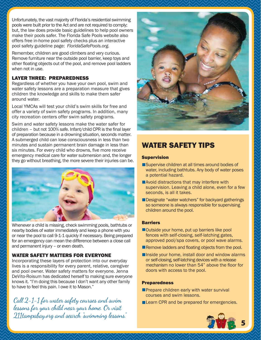Unfortunately, the vast majority of Florida's residential swimming pools were built prior to the Act and are not required to comply; but, the law does provide basic guidelines to help pool owners make their pools safer. The Florida Safe Pools website also offers free in-home pool safety checks plus an interactive pool safety guideline page: *FloridaSafePools.org.* 

Remember, children are good climbers and very curious. Remove furniture near the outside pool barrier, keep toys and other floating objects out of the pool, and remove pool ladders when not in use.

#### LAYER THREE: PREPAREDNESS

Regardless of whether you have your own pool, swim and water safety lessons are a preparation measure that gives children the knowledge and skills to make them safer around water.

Local YMCAs will test your child's swim skills for free and offer a variety of swim safety programs. In addition, many city recreation centers offer swim safety programs.

Swim and water safety lessons make the water safer for children – but not  $100\%$  safe. Infant/child CPR is the final layer of preparation because in a drowning situation, seconds matter. A submerged child can lose consciousness in less than two minutes and sustain permanent brain damage in less than six minutes. For every child who drowns, five more receive emergency medical care for water submersion and, the longer they go without breathing, the more severe their injuries can be.



Whenever a child is missing, check swimming pools, bathtubs or nearby bodies of water immediately and keep a phone with you or near the pool to call 9-1-1 quickly if necessary. Being prepared for an emergency can mean the difference between a close call and permanent injury – or even death.

#### WATER SAFETY MATTERS FOR EVERYONE

Incorporating these layers of protection into our everyday lives is a responsibility for every parent, relative, caregiver and pool owner. Water safety matters for everyone. Jenna DeVito-Roisum has dedicated herself to making sure everyone knows it. "I'm doing this because I don't want any other family to have to feel this pain. I owe it to Mason."

Call 2-1-1 for water safety courses and swim lessons for your child near your home. Or visit 211tampabay.org and search "swimming lessons."



# WATER SAFETY TIPS

#### Supervision

- Supervise children at all times around bodies of water, including bathtubs. Any body of water poses a potential hazard.
- **Avoid distractions that may interfere with** supervision. Leaving a child alone, even for a few seconds, is all it takes.
- Designate "water watchers" for backyard gatherings so someone is always responsible for supervising children around the pool.

#### **Barriers**

- Outside your home, put up barriers like pool fences with self-closing, self-latching gates, approved pool/spa covers, or pool wave alarms.
- Remove ladders and floating objects from the pool.
- Inside your home, install door and window alarms or self-closing, self-latching devices with a release mechanism no lower than 54" above the floor for doors with access to the pool.

#### Preparedness

- **Prepare children early with water survival** courses and swim lessons.
- **Learn CPR and be prepared for emergencies.**

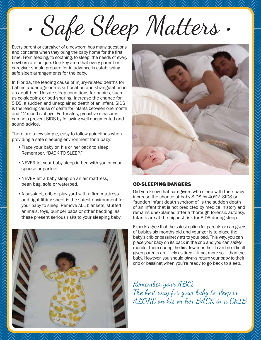• Safe Sleep Matters •

 Every parent or caregiver of a newborn has many questions and concerns when they bring the baby home for the first time. From feeding, to soothing, to sleep: the needs of every newborn are unique. One key area that every parent or caregiver should prepare for in advance is establishing safe sleep arrangements for the baby.

In Florida, the leading cause of injury-related deaths for babies under age one is suffocation and strangulation in an adult bed. Unsafe sleep conditions for babies, such as co-sleeping or bed-sharing, increase the chance for SIDS, a sudden and unexplained death of an infant. SIDS is the leading cause of death for infants between one month and 12 months of age. Fortunately, proactive measures can help prevent SIDS by following well-documented and sound advice.

There are a few simple, easy-to-follow guidelines when providing a safe sleeping environment for a baby:

- Place your baby on his or her back to sleep. Remember, "BACK TO SLEEP."
- NEVER let your baby sleep in bed with you or your spouse or partner.
- NEVER let a baby sleep on an air mattress, bean bag, sofa or waterbed.
- A bassinet, crib or play yard with a firm mattress and tight fitting sheet is the safest environment for your baby to sleep. Remove ALL blankets, stuffed animals, toys, bumper pads or other bedding, as these present serious risks to your sleeping baby.





#### CO-SLEEPING DANGERS

Did you know that caregivers who sleep with their baby increase the chance of baby SIDS by 40%? SIDS or "sudden infant death syndrome" is the sudden death of an infant that is not predicted by medical history and remains unexplained after a thorough forensic autopsy. Infants are at the highest risk for SIDS during sleep.

Experts agree that the safest option for parents or caregivers of babies six months old and younger is to place the baby's crib or bassinet *next* to your bed. This way, you can place your baby on its back in the crib and you can *safely* monitor them during the first few months. It can be difficult given parents are likely as tired – if not more so – than the baby. However, you should *always* return your baby to their crib or bassinet when you're ready to go back to sleep.

Remember your ABC's: The best way for your baby to sleep is ALONE on his or her BACK in a CRIB.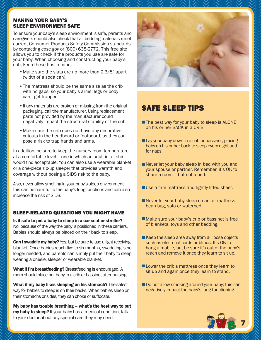#### MAKING YOUR BABY'S SLEEP ENVIRONMENT SAFE

To ensure your baby's sleep environment is safe, parents and caregivers should also check that all bedding materials meet current Consumer Products Safety Commission standards by contacting *cpsc.gov* or (800) 638-2772. This free site allows you to check if the products you use are safe for your baby. When choosing and constructing your baby's crib, keep these tips in mind:

- Make sure the slats are no more than 2 3/8" apart (width of a soda can).
- The mattress should be the same size as the crib with no gaps, so your baby's arms, legs or body can't get trapped.
- If any materials are broken or missing from the original packaging, call the manufacturer. Using replacement parts not provided by the manufacturer could negatively impact the structural stability of the crib.
- Make sure the crib does not have any decorative cutouts in the headboard or footboard, as they can pose a risk to trap hands and arms.

In addition, be sure to keep the nursery room temperature at a comfortable level – one in which an adult in a t-shirt would find acceptable. You can also use a wearable blanket or a one-piece zip-up sleeper that provides warmth and coverage without posing a SIDS risk to the baby.

Also, never allow smoking in your baby's sleep environment; this can be harmful to the baby's lung functions and can also increase the risk of SIDS.

#### SLEEP-RELATED QUESTIONS YOU MIGHT HAVE

Is it safe to put a baby to sleep in a car seat or stroller? No, because of the way the baby is positioned in these carriers. Babies should always be placed on their back to sleep.

**Can I swaddle my baby?** Yes, but be sure to use a light receiving blanket. Once babies reach five to six months, swaddling is no longer needed, and parents can simply put their baby to sleep wearing a onesie, sleeper or wearable blanket.

What if I'm breastfeeding? Breastfeeding is encouraged. A mom should place her baby in a crib or bassinet after nursing.

What if my baby likes sleeping on his stomach? The safest way for babies to sleep is on their backs. When babies sleep on their stomachs or sides, they can choke or suffocate.

My baby has trouble breathing – what's the best way to put my baby to sleep? If your baby has a medical condition, talk to your doctor about any special care they may need.



# SAFE SLEEP TIPS

- The best way for your baby to sleep is ALONE on his or her BACK in a CRIB.
- Lay your baby down in a crib or bassinet, placing baby on his or her back to sleep every night and for naps.
- Never let your baby sleep in bed with you and your spouse or partner. Remember, it's OK to share a room – but not a bed.
- $\blacksquare$  Use a firm mattress and tightly fitted sheet.
- Never let your baby sleep on an air mattress, bean bag, sofa or waterbed.
- Make sure your baby's crib or bassinet is free of blankets, toys and other bedding.
- Keep the sleep area away from all loose objects such as electrical cords or blinds. It's OK to hang a mobile, but be sure it's out of the baby's reach and remove it once they learn to sit up.
- **Lower the crib's mattress once they learn to** sit up and again once they learn to stand.
- Do not allow smoking around your baby; this can negatively impact the baby's lung functioning.

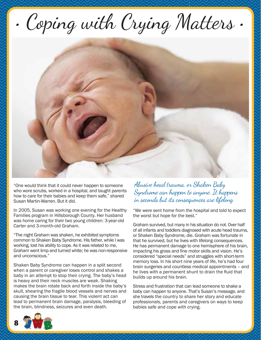• Coping with Crying Matters •



"One would think that it could never happen to someone who wore scrubs, worked in a hospital, and taught parents how to care for their babies and keep them safe," shared Susan Martin-Warren. But it did.

In 2005, Susan was working one evening for the Healthy Families program in Hillsborough County. Her husband was home caring for their two young children: 3-year-old Carter and 3-month-old Graham.

"The night Graham was shaken, he exhibited symptoms common to Shaken Baby Syndrome. His father, while I was working, lost his ability to cope. As it was related to me, Graham went limp and turned white; he was non-responsive and unconscious."

Shaken Baby Syndrome can happen in a split second when a parent or caregiver loses control and shakes a baby in an attempt to stop their crying. The baby's head is heavy and their neck muscles are weak. Shaking makes the brain rotate back and forth inside the baby's skull, shearing the fragile blood vessels and nerves and causing the brain tissue to tear. This violent act can lead to permanent brain damage, paralysis, bleeding of the brain, blindness, seizures and even death.

Abusive head trauma, or Shaken Baby Syndrome can happen to anyone. It happens in seconds but its consequences are lifelong.

"We were sent home from the hospital and told to expect the worst but hope for the best."

Graham survived, but many in his situation do not. Over half of all infants and toddlers diagnosed with acute head trauma, or Shaken Baby Syndrome, die. Graham was fortunate in that he survived, but he lives with lifelong consequences. He has permanent damage to one hemisphere of his brain, impacting his gross and fine motor skills and vision. He's considered "special needs" and struggles with short-term memory loss. In his short nine years of life, he's had four brain surgeries and countless medical appointments – and he lives with a permanent shunt to drain the fluid that builds up around his brain.

Stress and frustration that can lead someone to shake a baby can happen to anyone. That's Susan's message, and she travels the country to share her story and educate professionals, parents and caregivers on ways to keep babies safe and cope with crying.

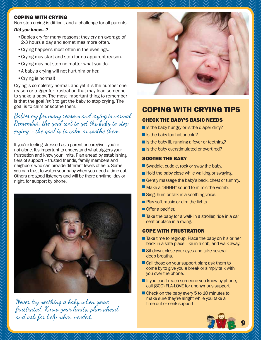#### COPING WITH CRYING

Non-stop crying is difficult and a challenge for all parents.

#### *Did you know...?*

- Babies cry for many reasons; they cry an average of 2-3 hours a day and sometimes more often.
- Crying happens most often in the evenings.
- Crying may start and stop for no apparent reason.
- Crying may not stop no matter what you do.
- A baby's crying will not hurt him or her.
- Crying is normal!

Crying is completely normal, and yet it is the number one reason or trigger for frustration that may lead someone to shake a baby. The most important thing to remember is that the goal *isn't* to get the baby to stop crying. The goal is to calm or soothe them.

Babies cry for many reasons and crying is normal. Remember, the goal isn't to get the baby to stop crying  $-$ the goal is to calm or soothe them.

If you're feeling stressed as a parent or caregiver, you're not alone. It's important to understand what triggers your frustration and know your limits. Plan ahead by establishing tiers of support – trusted friends, family members and neighbors who can provide different levels of help. Some you can trust to watch your baby when you need a time-out. Others are good listeners and will be there anytime, day or night, for support by phone.



Never try soothing a baby when you're frustrated. Know your limits, plan ahead and ask for help when needed.



### COPING WITH CRYING TIPS

#### CHECK THE BABY'S BASIC NEEDS

- $\blacksquare$  Is the baby hungry or is the diaper dirty?
- Is the baby too hot or cold?
- Is the baby ill, running a fever or teething?
- Is the baby overstimulated or overtired?

#### SOOTHE THE BABY

- Swaddle, cuddle, rock or sway the baby.
- Hold the baby close while walking or swaying.
- Gently massage the baby's back, chest or tummy.
- **Make a "SHHH" sound to mimic the womb.**
- Sing, hum or talk in a soothing voice.
- **Play soft music or dim the lights.**
- $\blacksquare$  Offer a pacifier.
- $\blacksquare$  Take the baby for a walk in a stroller, ride in a car seat or place in a swing.

#### COPE WITH FRUSTRATION

- Take time to regroup. Place the baby on his or her back in a safe place, like in a crib, and walk away.
- Sit down, close your eyes and take several deep breaths.
- Call those on your support plan; ask them to come by to give you a break or simply talk with you over the phone.
- $\blacksquare$  If you can't reach someone you know by phone, call (800) FLA-LOVE for anonymous support.
- Check on the baby every 5 to 10 minutes to make sure they're alright while you take a time-out or seek support.

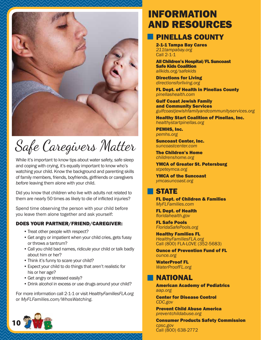

# Safe Caregivers Matter

While it's important to know tips about water safety, safe sleep and coping with crying, it's equally important to know who's watching your child. Know the background and parenting skills of family members, friends, boyfriends, girlfriends or caregivers *before* leaving them alone with your child.

Did you know that children who live with adults not related to them are nearly 50 times as likely to die of inflicted injuries?

Spend time observing the person with your child before you leave them alone together and ask yourself:

#### DOES YOUR PARTNER/FRIEND/CAREGIVER:

- Treat other people with respect?
- Get angry or impatient when your child cries, gets fussy or throws a tantrum?
- Call you child bad names, ridicule your child or talk badly about him or her?
- Think it's funny to scare your child?
- Expect your child to do things that aren't realistic for his or her age?
- Get angry or stressed easily?
- Drink alcohol in excess or use drugs around your child?

For more information call 2-1-1 or visit *HealthyFamiliesFLA.org* or *MyFLFamilies.com/WhosWatching.*



# INFORMATION AND RESOURCES

# PINELLAS COUNTY

2-1-1 Tampa Bay Cares *211tampabay.org* Call 2-1-1

All Children's Hospital/FL Suncoast Safe Kids Coalition *allkids.org/safekids*

Directions for Living *directionsforliving.org*

FL Dept. of Health in Pinellas County *pinellashealth.com*

Gulf Coast Jewish Family and Community Services *gulfcoastjewishfamilyandcommunityservices.org*

Healthy Start Coalition of Pinellas, Inc. *healthystartpinellas.org*

PEMHS, Inc. *pemhs.org*

Suncoast Center, Inc. *suncoastcenter.com*

The Children's Home *childrenshome.org*

YMCA of Greater St. Petersburg *stpeteymca.org* 

YMCA of the Suncoast *ymcasuncoast.org*

### STATE

FL Dept. of Children & Families *MyFLFamilies.com*

FL Dept. of Health *fl oridahealth.gov*

FL Safe Pools *FloridaSafePools.org*

Healthy Families FL *HealthyFamiliesFLA.org* Call (800) FLA-LOVE (352-5683)

Ounce of Prevention Fund of FL *ounce.org* 

WaterProof FL *WaterProofFL.org*

# NATIONAL

American Academy of Pediatrics *aap.org* 

Center for Disease Control *CDC.gov*

Prevent Child Abuse America *preventchildabuse.org*

Consumer Products Safety Commission *cpsc.gov* Call (800) 638-2772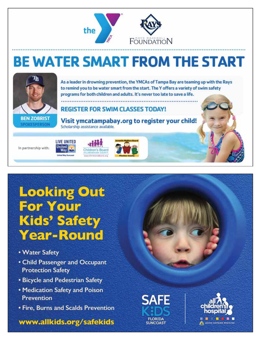

# **BE WATER SMART FROM THE START**



As a leader in drowning prevention, the YMCAs of Tampa Bay are teaming up with the Rays to remind you to be water smart from the start. The Y offers a variety of swim safety programs for both children and adults. It's never too late to save a life.

**REGISTER FOR SWIM CLASSES TODAY!** 

Visit ymcatampabay.org to register your child! Scholarship assistance available.

In partnership with:







**Looking Out For Your Kids' Safety Year-Round** 

- Water Safety
- Child Passenger and Occupant **Protection Safety**
- Bicycle and Pedestrian Safety
- Medication Safety and Poison **Prevention**
- Fire, Burns and Scalds Prevention

www.allkids.org/safekids

**SAFE** FLORIDA **SUNCOAST**